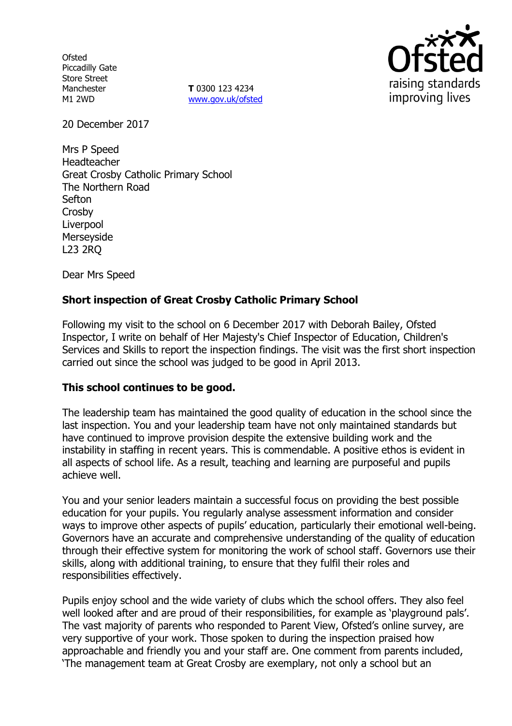**Ofsted** Piccadilly Gate Store Street Manchester M1 2WD

**T** 0300 123 4234 www.gov.uk/ofsted



20 December 2017

Mrs P Speed Headteacher Great Crosby Catholic Primary School The Northern Road Sefton Crosby Liverpool Merseyside L23 2RQ

Dear Mrs Speed

## **Short inspection of Great Crosby Catholic Primary School**

Following my visit to the school on 6 December 2017 with Deborah Bailey, Ofsted Inspector, I write on behalf of Her Majesty's Chief Inspector of Education, Children's Services and Skills to report the inspection findings. The visit was the first short inspection carried out since the school was judged to be good in April 2013.

### **This school continues to be good.**

The leadership team has maintained the good quality of education in the school since the last inspection. You and your leadership team have not only maintained standards but have continued to improve provision despite the extensive building work and the instability in staffing in recent years. This is commendable. A positive ethos is evident in all aspects of school life. As a result, teaching and learning are purposeful and pupils achieve well.

You and your senior leaders maintain a successful focus on providing the best possible education for your pupils. You regularly analyse assessment information and consider ways to improve other aspects of pupils' education, particularly their emotional well-being. Governors have an accurate and comprehensive understanding of the quality of education through their effective system for monitoring the work of school staff. Governors use their skills, along with additional training, to ensure that they fulfil their roles and responsibilities effectively.

Pupils enjoy school and the wide variety of clubs which the school offers. They also feel well looked after and are proud of their responsibilities, for example as 'playground pals'. The vast majority of parents who responded to Parent View, Ofsted's online survey, are very supportive of your work. Those spoken to during the inspection praised how approachable and friendly you and your staff are. One comment from parents included, 'The management team at Great Crosby are exemplary, not only a school but an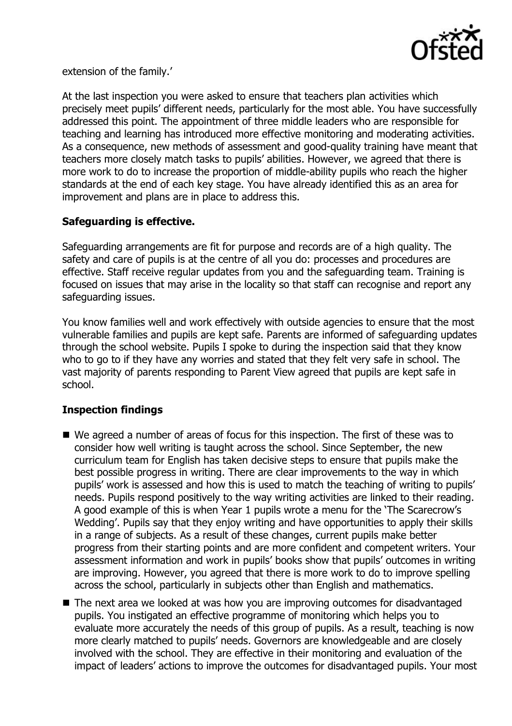

extension of the family.'

At the last inspection you were asked to ensure that teachers plan activities which precisely meet pupils' different needs, particularly for the most able. You have successfully addressed this point. The appointment of three middle leaders who are responsible for teaching and learning has introduced more effective monitoring and moderating activities. As a consequence, new methods of assessment and good-quality training have meant that teachers more closely match tasks to pupils' abilities. However, we agreed that there is more work to do to increase the proportion of middle-ability pupils who reach the higher standards at the end of each key stage. You have already identified this as an area for improvement and plans are in place to address this.

# **Safeguarding is effective.**

Safeguarding arrangements are fit for purpose and records are of a high quality. The safety and care of pupils is at the centre of all you do: processes and procedures are effective. Staff receive regular updates from you and the safeguarding team. Training is focused on issues that may arise in the locality so that staff can recognise and report any safeguarding issues.

You know families well and work effectively with outside agencies to ensure that the most vulnerable families and pupils are kept safe. Parents are informed of safeguarding updates through the school website. Pupils I spoke to during the inspection said that they know who to go to if they have any worries and stated that they felt very safe in school. The vast majority of parents responding to Parent View agreed that pupils are kept safe in school.

# **Inspection findings**

- We agreed a number of areas of focus for this inspection. The first of these was to consider how well writing is taught across the school. Since September, the new curriculum team for English has taken decisive steps to ensure that pupils make the best possible progress in writing. There are clear improvements to the way in which pupils' work is assessed and how this is used to match the teaching of writing to pupils' needs. Pupils respond positively to the way writing activities are linked to their reading. A good example of this is when Year 1 pupils wrote a menu for the 'The Scarecrow's Wedding'. Pupils say that they enjoy writing and have opportunities to apply their skills in a range of subjects. As a result of these changes, current pupils make better progress from their starting points and are more confident and competent writers. Your assessment information and work in pupils' books show that pupils' outcomes in writing are improving. However, you agreed that there is more work to do to improve spelling across the school, particularly in subjects other than English and mathematics.
- The next area we looked at was how you are improving outcomes for disadvantaged pupils. You instigated an effective programme of monitoring which helps you to evaluate more accurately the needs of this group of pupils. As a result, teaching is now more clearly matched to pupils' needs. Governors are knowledgeable and are closely involved with the school. They are effective in their monitoring and evaluation of the impact of leaders' actions to improve the outcomes for disadvantaged pupils. Your most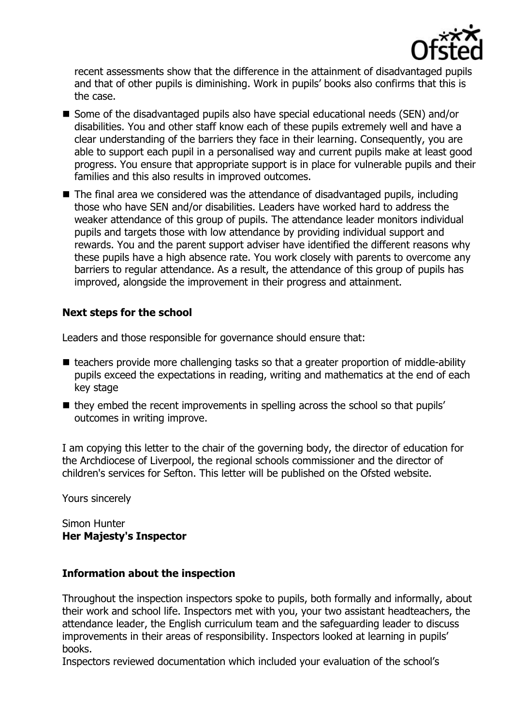

recent assessments show that the difference in the attainment of disadvantaged pupils and that of other pupils is diminishing. Work in pupils' books also confirms that this is the case.

- Some of the disadvantaged pupils also have special educational needs (SEN) and/or disabilities. You and other staff know each of these pupils extremely well and have a clear understanding of the barriers they face in their learning. Consequently, you are able to support each pupil in a personalised way and current pupils make at least good progress. You ensure that appropriate support is in place for vulnerable pupils and their families and this also results in improved outcomes.
- The final area we considered was the attendance of disadvantaged pupils, including those who have SEN and/or disabilities. Leaders have worked hard to address the weaker attendance of this group of pupils. The attendance leader monitors individual pupils and targets those with low attendance by providing individual support and rewards. You and the parent support adviser have identified the different reasons why these pupils have a high absence rate. You work closely with parents to overcome any barriers to regular attendance. As a result, the attendance of this group of pupils has improved, alongside the improvement in their progress and attainment.

## **Next steps for the school**

Leaders and those responsible for governance should ensure that:

- $\blacksquare$  teachers provide more challenging tasks so that a greater proportion of middle-ability pupils exceed the expectations in reading, writing and mathematics at the end of each key stage
- $\blacksquare$  they embed the recent improvements in spelling across the school so that pupils' outcomes in writing improve.

I am copying this letter to the chair of the governing body, the director of education for the Archdiocese of Liverpool, the regional schools commissioner and the director of children's services for Sefton. This letter will be published on the Ofsted website.

Yours sincerely

#### Simon Hunter **Her Majesty's Inspector**

### **Information about the inspection**

Throughout the inspection inspectors spoke to pupils, both formally and informally, about their work and school life. Inspectors met with you, your two assistant headteachers, the attendance leader, the English curriculum team and the safeguarding leader to discuss improvements in their areas of responsibility. Inspectors looked at learning in pupils' books.

Inspectors reviewed documentation which included your evaluation of the school's